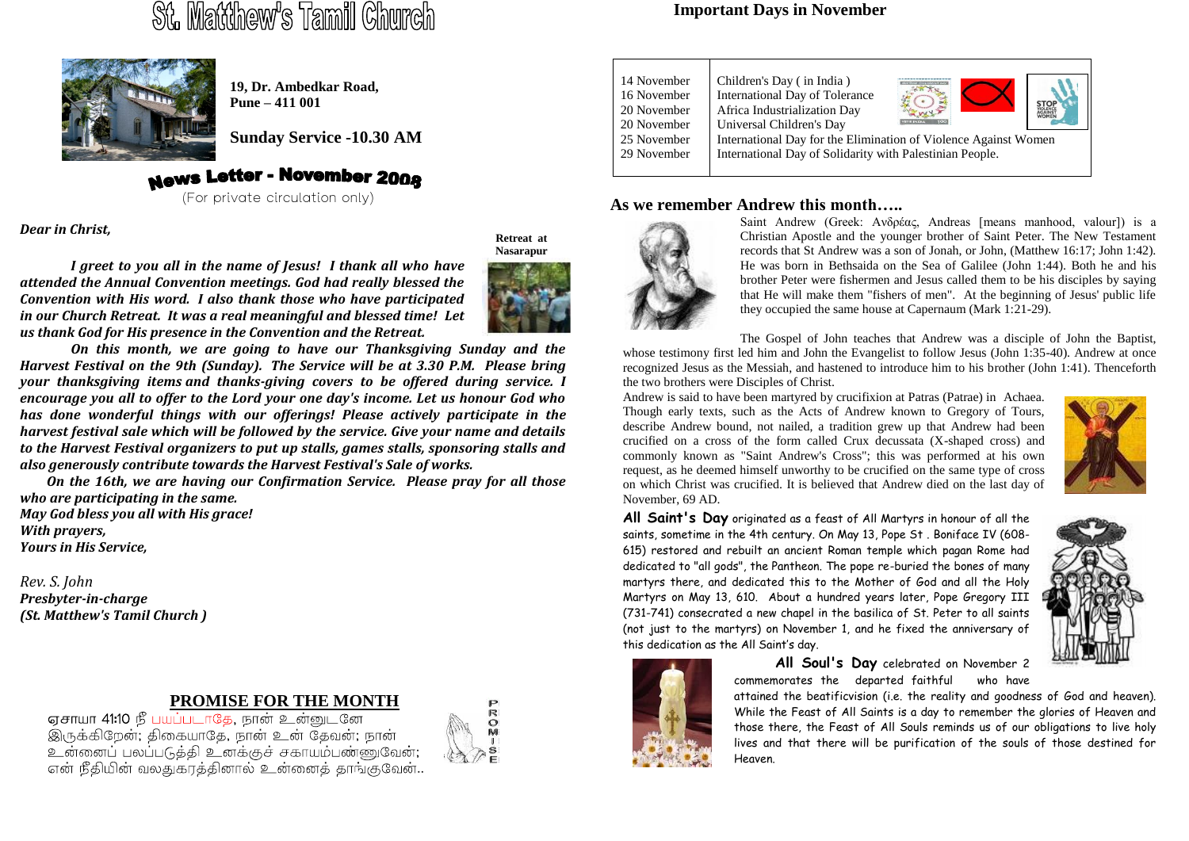# St. Matthew's Tamil Church



**19, Dr. Ambedkar Road, Pune – 411 001**

**Sunday Service -10.30 AM**

# **News Letter - November 2008**

(For private circulation only)

*Dear in Christ,*

**Retreat at Nasarapur**

*I greet to you all in the name of Jesus! I thank all who have attended the Annual Convention meetings. God had really blessed the Convention with His word. I also thank those who have participated in our Church Retreat. It was a real meaningful and blessed time! Let us thank God for His presence in the Convention and the Retreat.*

*On this month, we are going to have our Thanksgiving Sunday and the Harvest Festival on the 9th (Sunday). The Service will be at 3.30 P.M. Please bring your thanksgiving items and thanks-giving covers to be offered during service. I encourage you all to offer to the Lord your one day's income. Let us honour God who has done wonderful things with our offerings! Please actively participate in the harvest festival sale which will be followed by the service. Give your name and details to the Harvest Festival organizers to put up stalls, games stalls, sponsoring stalls and also generously contribute towards the Harvest Festival's Sale of works.*

 *On the 16th, we are having our Confirmation Service. Please pray for all those who are participating in the same. May God bless you all with His grace!*

*With prayers, Yours in His Service,*

*Rev. S. John Presbyter-in-charge (St. Matthew's Tamil Church )*

# **PROMISE FOR THE MONTH**

எசாயா 41:10 நீ பயப்படாகே, நான் உன்னுடனே .<br>இருக்கிறேன்; திகையாதே, நான் உன் தேவன்; நான் உன்னைப் பலப்படுத்தி உனக்குச் சகாயம்பண்ணுவேன்; .<br>என் நீதியின் வலதுகாக்கினால் உன்னைக் காங்குவேன்..



#### **Important Days in November**

| 14 November<br>16 November<br>20 November<br>20 November | Children's Day (in India)<br>International Day of Tolerance<br>Africa Industrialization Day<br>Universal Children's Day     |  |  |  |  |
|----------------------------------------------------------|-----------------------------------------------------------------------------------------------------------------------------|--|--|--|--|
| 25 November<br>29 November                               | International Day for the Elimination of Violence Against Women<br>International Day of Solidarity with Palestinian People. |  |  |  |  |

#### **As we remember Andrew this month…..**



Saint Andrew (Greek: Ανδρέας, Andreas [means manhood, valour]) is a Christian Apostle and the younger brother of Saint Peter. The New Testament records that St Andrew was a son of Jonah, or John, (Matthew 16:17; John 1:42). He was born in Bethsaida on the Sea of Galilee (John 1:44). Both he and his brother Peter were fishermen and Jesus called them to be his disciples by saying that He will make them "fishers of men". At the beginning of Jesus' public life they occupied the same house at Capernaum (Mark 1:21-29).

The Gospel of John teaches that Andrew was a disciple of John the Baptist, whose testimony first led him and John the Evangelist to follow Jesus (John 1:35-40). Andrew at once recognized Jesus as the Messiah, and hastened to introduce him to his brother (John 1:41). Thenceforth the two brothers were Disciples of Christ.

Andrew is said to have been martyred by crucifixion at Patras (Patrae) in Achaea. Though early texts, such as the Acts of Andrew known to Gregory of Tours, describe Andrew bound, not nailed, a tradition grew up that Andrew had been crucified on a cross of the form called Crux decussata (X-shaped cross) and commonly known as "Saint Andrew's Cross"; this was performed at his own request, as he deemed himself unworthy to be crucified on the same type of cross on which Christ was crucified. It is believed that Andrew died on the last day of November, 69 AD.



**All Saint's Day** originated as a feast of All Martyrs in honour of all the saints, sometime in the 4th century. On May 13, Pope St . Boniface IV (608- 615) restored and rebuilt an ancient Roman temple which pagan Rome had dedicated to "all gods", the Pantheon. The pope re-buried the bones of many martyrs there, and dedicated this to the Mother of God and all the Holy Martyrs on May 13, 610. About a hundred years later, Pope Gregory III (731-741) consecrated a new chapel in the basilica of St. Peter to all saints (not just to the martyrs) on November 1, and he fixed the anniversary of this dedication as the All Saint's day.





**All Soul's Day** celebrated on November 2 commemorates the departed faithful who have

attained the beatificvision (i.e. the reality and goodness of God and heaven). While the Feast of All Saints is a day to remember the glories of Heaven and those there, the Feast of All Souls reminds us of our obligations to live holy lives and that there will be purification of the souls of those destined for Heaven.